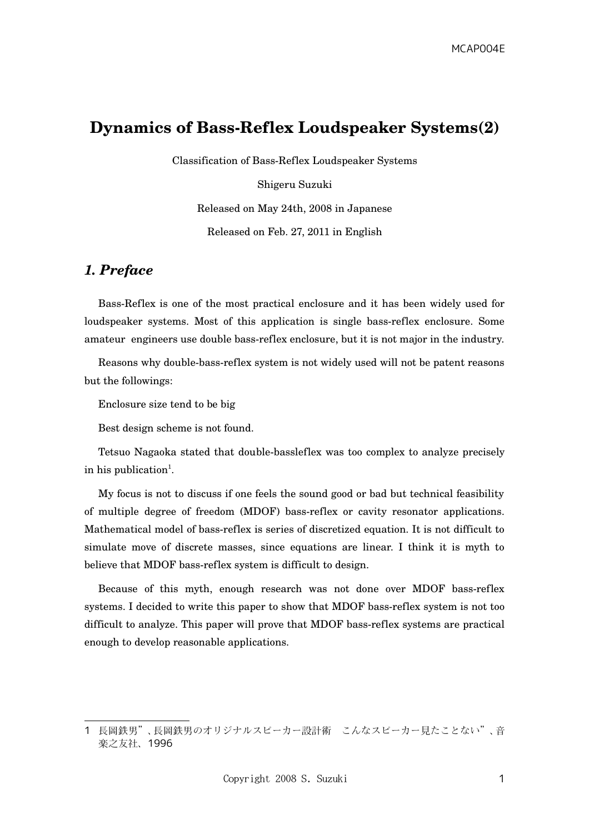# **Dynamics of Bass-Reflex Loudspeaker Systems(2)**

Classification of Bass-Reflex Loudspeaker Systems

Shigeru Suzuki Released on May 24th, 2008 in Japanese Released on Feb. 27, 2011 in English

## *1. Preface*

Bass-Reflex is one of the most practical enclosure and it has been widely used for loudspeaker systems. Most of this application is single bassreflex enclosure. Some amateur engineers use double bassreflex enclosure, but it is not major in the industry.

Reasons why double-bass-reflex system is not widely used will not be patent reasons but the followings:

Enclosure size tend to be big

Best design scheme is not found.

Tetsuo Nagaoka stated that doublebassleflex was too complex to analyze precisely in his publication<sup>[1](#page-0-0)</sup>.

My focus is not to discuss if one feels the sound good or bad but technical feasibility of multiple degree of freedom (MDOF) bassreflex or cavity resonator applications. Mathematical model of bassreflex is series of discretized equation. It is not difficult to simulate move of discrete masses, since equations are linear. I think it is myth to believe that MDOF bass-reflex system is difficult to design.

Because of this myth, enough research was not done over MDOF bass-reflex systems. I decided to write this paper to show that MDOF bassreflex system is not too difficult to analyze. This paper will prove that MDOF bass-reflex systems are practical enough to develop reasonable applications.

<span id="page-0-0"></span><sup>1</sup> 長岡鉄男"、長岡鉄男のオリジナルスピーカー設計術 こんなスピーカー見たことない"、音 楽之友社、1996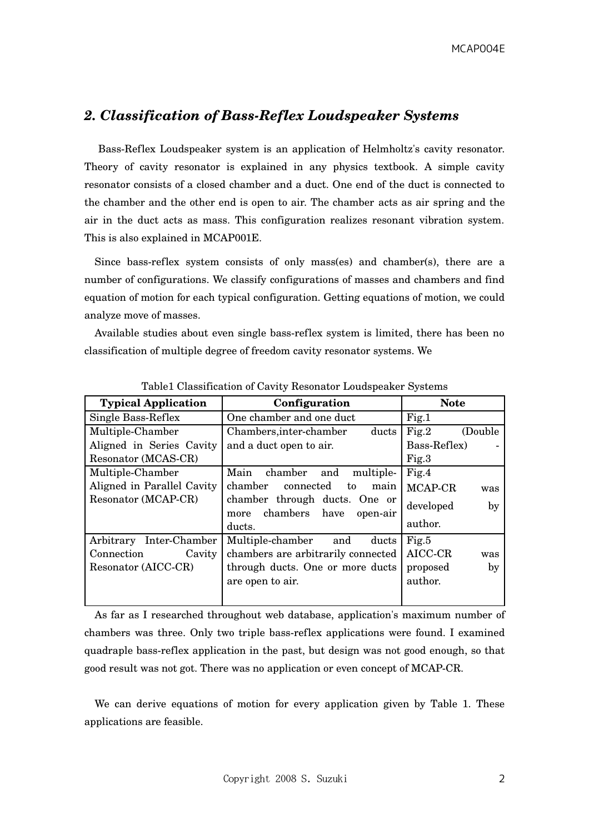## 2. Classification of Bass-Reflex Loudspeaker Systems

Bass-Reflex Loudspeaker system is an application of Helmholtz's cavity resonator. Theory of cavity resonator is explained in any physics textbook. A simple cavity resonator consists of a closed chamber and a duct. One end of the duct is connected to the chamber and the other end is open to air. The chamber acts as air spring and the air in the duct acts as mass. This configuration realizes resonant vibration system. This is also explained in MCAP001E.

Since bass-reflex system consists of only mass(es) and chamber(s), there are a number of configurations. We classify configurations of masses and chambers and find equation of motion for each typical configuration. Getting equations of motion, we could analyze move of masses.

Available studies about even single bassreflex system is limited, there has been no classification of multiple degree of freedom cavity resonator systems. We

| <b>Typical Application</b> | Configuration                             | <b>Note</b>      |
|----------------------------|-------------------------------------------|------------------|
| Single Bass-Reflex         | One chamber and one duct                  | Fig.1            |
| Multiple-Chamber           | Chambers, inter-chamber<br>ducts          | Fig.2<br>(Double |
| Aligned in Series Cavity   | and a duct open to air.                   | Bass-Reflex)     |
| Resonator (MCAS-CR)        |                                           | Fig.3            |
| Multiple-Chamber           | chamber<br>Main<br>and<br>multiple-       | Fig.4            |
| Aligned in Parallel Cavity | chamber<br>connected<br>to<br>main        | MCAP-CR<br>was   |
| Resonator (MCAP-CR)        | chamber through ducts. One or<br>chambers | developed<br>by  |
|                            | have<br>more<br>open-air<br>ducts.        | author.          |
| Inter-Chamber<br>Arbitrary | Multiple-chamber<br>and<br>ducts          | Fig.5            |
| Connection<br>Cavity       | chambers are arbitrarily connected        | AICC-CR<br>was   |
| Resonator (AICC-CR)        | through ducts. One or more ducts          | proposed<br>by   |
|                            | are open to air.                          | author.          |
|                            |                                           |                  |
|                            |                                           |                  |

Table1 Classification of Cavity Resonator Loudspeaker Systems

As far as I researched throughout web database, application's maximum number of chambers was three. Only two triple bass-reflex applications were found. I examined quadraple bassreflex application in the past, but design was not good enough, so that good result was not got. There was no application or even concept of MCAPCR.

We can derive equations of motion for every application given by Table 1. These applications are feasible.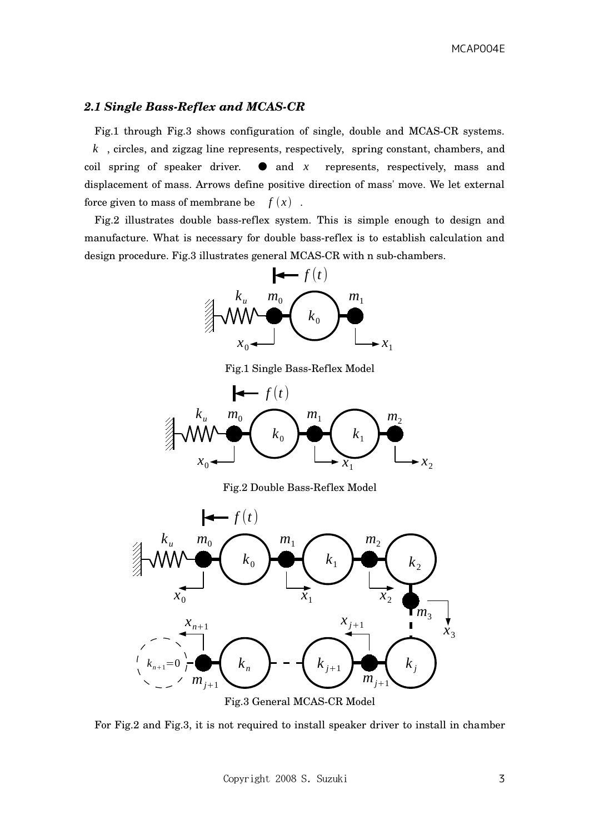#### 2.1 Single Bass-Reflex and MCAS-CR

Fig.1 through Fig.3 shows configuration of single, double and MCASCR systems. *k* , circles, and zigzag line represents, respectively, spring constant, chambers, and coil spring of speaker driver.  $\bullet$  and  $x$  represents, respectively, mass and displacement of mass. Arrows define positive direction of mass' move. We let external force given to mass of membrane be  $f(x)$ .

Fig.2 illustrates double bass-reflex system. This is simple enough to design and manufacture. What is necessary for double bassreflex is to establish calculation and design procedure. Fig.3 illustrates general MCAS-CR with n sub-chambers.



Fig.1 Single Bass-Reflex Model



Fig.2 Double Bass-Reflex Model



For Fig.2 and Fig.3, it is not required to install speaker driver to install in chamber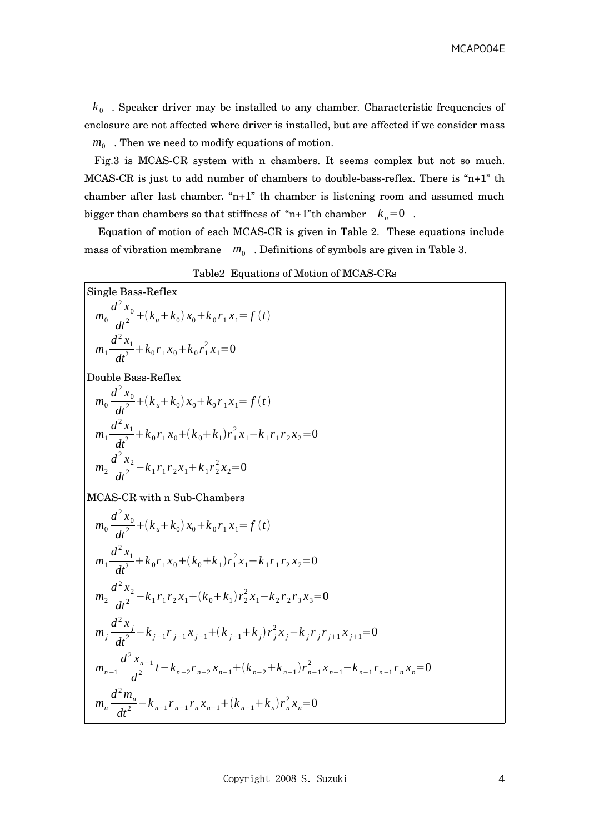$k_{\rm 0}$  . Speaker driver may be installed to any chamber. Characteristic frequencies of enclosure are not affected where driver is installed, but are affected if we consider mass  $m_0$ . Then we need to modify equations of motion.

Fig.3 is MCASCR system with n chambers. It seems complex but not so much. MCAS-CR is just to add number of chambers to double-bass-reflex. There is "n+1" th chamber after last chamber. "n+1" th chamber is listening room and assumed much bigger than chambers so that stiffness of "n+1"th chamber  $k_n=0$ .

Equation of motion of each MCASCR is given in Table 2. These equations include mass of vibration membrane  $m_0$ . Definitions of symbols are given in Table 3.

| <b>Single Bass-Reflex</b>                                                                                                           |
|-------------------------------------------------------------------------------------------------------------------------------------|
| $m_0 \frac{d^2 x_0}{dt^2} + (k_u + k_0) x_0 + k_0 r_1 x_1 = f(t)$                                                                   |
| $m_1 \frac{d^2 x_1}{dt^2} + k_0 r_1 x_0 + k_0 r_1^2 x_1 = 0$                                                                        |
| Double Bass-Reflex                                                                                                                  |
| $m_0 \frac{d^2 x_0}{dt^2} + (k_u + k_0) x_0 + k_0 r_1 x_1 = f(t)$                                                                   |
| $m_1 \frac{d^2 x_1}{dt^2} + k_0 r_1 x_0 + (k_0 + k_1) r_1^2 x_1 - k_1 r_1 r_2 x_2 = 0$                                              |
| $m_2 \frac{d^2 x_2}{dt^2} - k_1 r_1 r_2 x_1 + k_1 r_2^2 x_2 = 0$                                                                    |
| MCAS-CR with n Sub-Chambers                                                                                                         |
| $m_0 \frac{d^2 x_0}{dt^2} + (k_u + k_0) x_0 + k_0 r_1 x_1 = f(t)$                                                                   |
| $m_1 \frac{d^2 x_1}{dt^2} + k_0 r_1 x_0 + (k_0 + k_1) r_1^2 x_1 - k_1 r_1 r_2 x_2 = 0$                                              |
| $m_2 \frac{d^2 x_2}{dt^2} - k_1 r_1 r_2 x_1 + (k_0 + k_1) r_2^2 x_1 - k_2 r_2 r_3 x_3 = 0$                                          |
| $m_j \frac{d^2 x_j}{dt^2} - k_{j-1} r_{j-1} x_{j-1} + (k_{j-1} + k_j) r_j^2 x_j - k_j r_j r_{j+1} x_{j+1} = 0$                      |
| $m_{n-1} \frac{d^2 x_{n-1}}{d^2} t - k_{n-2} r_{n-2} x_{n-1} + (k_{n-2} + k_{n-1}) r_{n-1}^2 x_{n-1} - k_{n-1} r_{n-1} r_n x_n = 0$ |
| $m_n \frac{d^m_n}{dt^2} - k_{n-1} r_{n-1} r_n x_{n-1} + (k_{n-1} + k_n) r_n^2 x_n = 0$                                              |

| Table2 Equations of Motion of MCAS-CRs |
|----------------------------------------|
|----------------------------------------|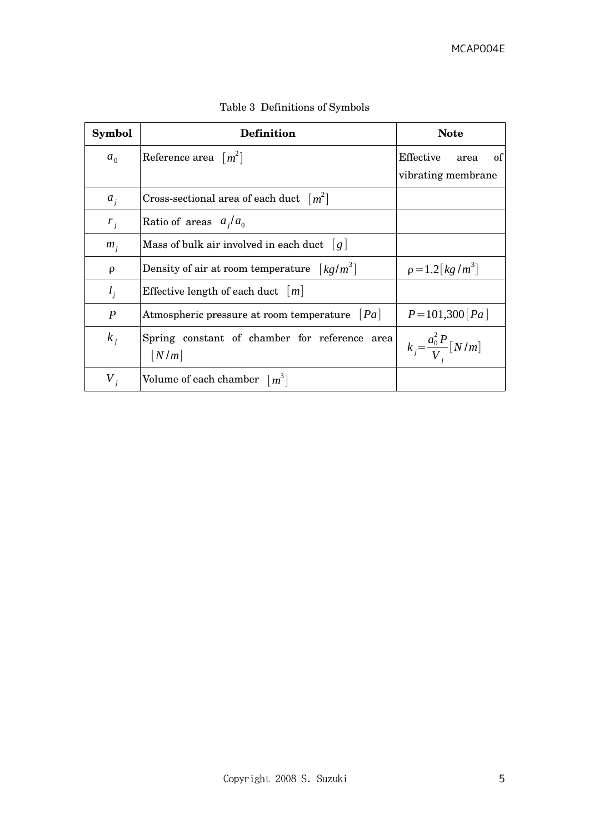| Symbol         | <b>Definition</b>                                                            | <b>Note</b>                              |
|----------------|------------------------------------------------------------------------------|------------------------------------------|
| a <sub>0</sub> | Reference area $[m^2]$                                                       | Effective<br>area<br>of                  |
|                |                                                                              | vibrating membrane                       |
| $a_i$          | Cross-sectional area of each duct $[m^2]$                                    |                                          |
| $r_i$          | Ratio of areas $a_i/a_0$                                                     |                                          |
| $m_i$          | Mass of bulk air involved in each duct $ g $                                 |                                          |
| $\rho$         | Density of air at room temperature $\left\lceil \frac{kq}{m^3} \right\rceil$ | $p = 1.2 \lfloor \frac{kg}{m^3} \rfloor$ |
| $l_i$          | Effective length of each duct $ m $                                          |                                          |
| P              | Atmospheric pressure at room temperature $ Pa $                              | $P = 101,300$ [Pa]                       |
| $k_i$          | Spring constant of chamber for reference area<br>$\lfloor N/m \rfloor$       | $k_j = \frac{a_0^2 P}{V} [N/m]$          |
| $V_{i}$        | Volume of each chamber $\lceil m^3 \rceil$                                   |                                          |

Table 3 Definitions of Symbols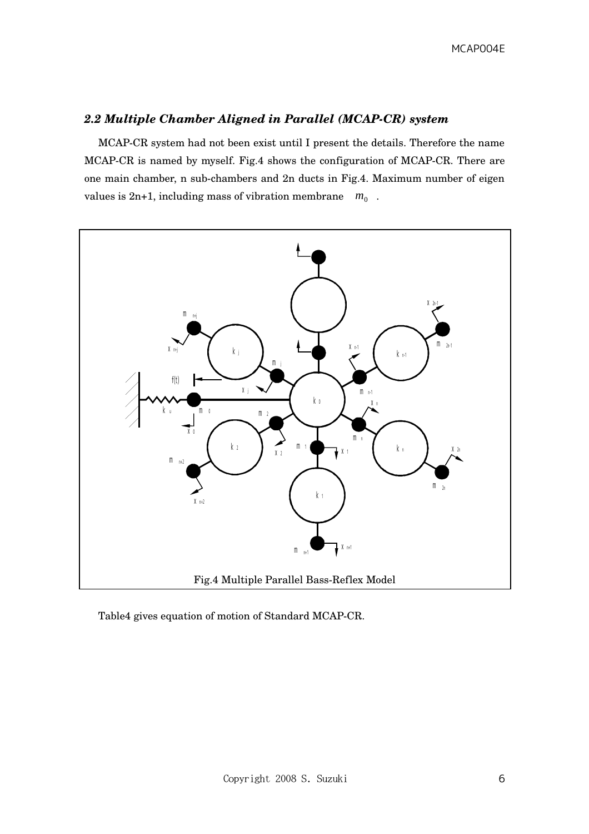## *2.2 Multiple Chamber Aligned in Parallel (MCAPCR) system*

MCAPCR system had not been exist until I present the details. Therefore the name MCAPCR is named by myself. Fig.4 shows the configuration of MCAPCR. There are one main chamber, n sub-chambers and 2n ducts in Fig.4. Maximum number of eigen values is  $2n+1$ , including mass of vibration membrane  $m_0$ .



Table4 gives equation of motion of Standard MCAP-CR.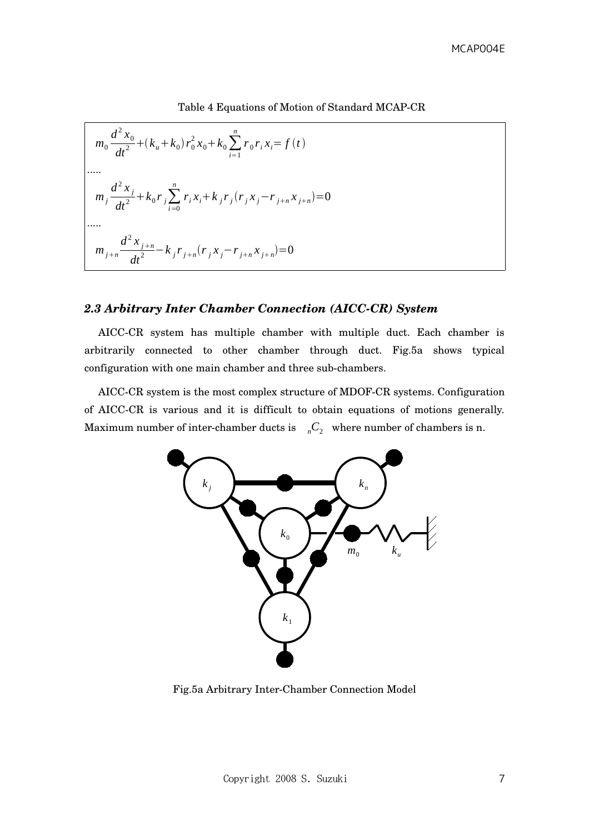Table 4 Equations of Motion of Standard MCAPCR

$$
m_0 \frac{d^2 x_0}{dt^2} + (k_u + k_0) r_0^2 x_0 + k_0 \sum_{i=1}^n r_0 r_i x_i = f(t)
$$
  
\n
$$
m_j \frac{d^2 x_j}{dt^2} + k_0 r_j \sum_{i=0}^n r_i x_i + k_j r_j (r_j x_j - r_{j+n} x_{j+n}) = 0
$$
  
\n
$$
m_j \frac{d^2 x_{j+n}}{dt^2} - k_j r_{j+n} (r_j x_j - r_{j+n} x_{j+n}) = 0
$$

#### 2.3 Arbitrary Inter Chamber Connection (AICC-CR) System

AICC-CR system has multiple chamber with multiple duct. Each chamber is arbitrarily connected to other chamber through duct. Fig.5a shows typical configuration with one main chamber and three sub-chambers.

AICC-CR system is the most complex structure of MDOF-CR systems. Configuration of AICC-CR is various and it is difficult to obtain equations of motions generally. Maximum number of inter-chamber ducts is  $nC_2$  where number of chambers is n.



Fig.5a Arbitrary InterChamber Connection Model